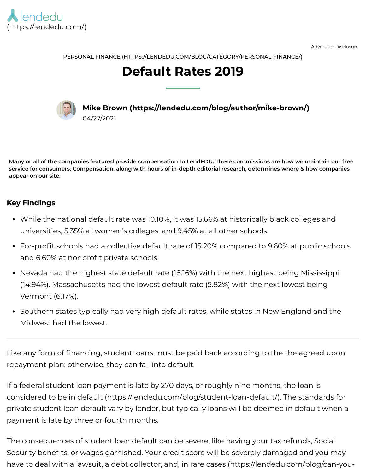

Advertiser Disclosure

PERSONAL FINANCE [\(HTTPS://LENDEDU.COM/BLOG/CATEGORY/PERSONAL-FINANCE/\)](https://lendedu.com/blog/category/personal-finance/)

# **Default Rates 2019**



**Mike Brown [\(https://lendedu.com/blog/author/mike-brown/\)](https://lendedu.com/blog/author/mike-brown/)** 04/27/2021

Many or all of the companies featured provide compensation to LendEDU. These commissions are how we maintain our free service for consumers. Compensation, along with hours of in-depth editorial research, determines where & how companies **appear on our site.**

### **Key Findings**

- While the national default rate was 10.10%, it was 15.66% at historically black colleges and universities, 5.35% at women's colleges, and 9.45% at all other schools.
- For-profit schools had a collective default rate of 15.20% compared to 9.60% at public schools and 6.60% at nonprofit private schools.
- Nevada had the highest state default rate (18.16%) with the next highest being Mississippi (14.94%). Massachusetts had the lowest default rate (5.82%) with the next lowest being Vermont (6.17%).
- Southern states typically had very high default rates, while states in New England and the Midwest had the lowest.

Like any form of financing, student loans must be paid back according to the the agreed upon repayment plan; otherwise, they can fall into default.

If a federal student loan payment is late by 270 days, or roughly nine months, the loan is considered to be in default [\(https://lendedu.com/blog/student-loan-default/\)](https://lendedu.com/blog/student-loan-default/). The standards for private student loan default vary by lender, but typically loans will be deemed in default when a payment is late by three or fourth months.

The consequences of student loan default can be severe, like having your tax refunds, Social Security benefits, or wages garnished. Your credit score will be severely damaged and you may have to deal with a lawsuit, a debt collector, and, in rare cases [\(https://lendedu.com/blog/can-you-](https://lendedu.com/blog/can-you-be-arrested-for-not-paying-your-student-loans/)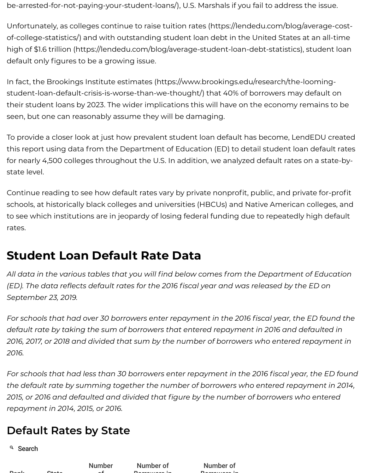[be-arrested-for-not-paying-your-student-loans/\),](https://lendedu.com/blog/can-you-be-arrested-for-not-paying-your-student-loans/) U.S. Marshals if you fail to address the issue.

Unfortunately, as colleges continue to raise tuition rates [\(https://lendedu.com/blog/average-cost](https://lendedu.com/blog/average-cost-of-college-statistics/)of-college-statistics/) and with outstanding student loan debt in the United States at an all-time high of \$1.6 trillion [\(https://lendedu.com/blog/average-student-loan-debt-statistics\)](https://lendedu.com/blog/average-student-loan-debt-statistics), student loan default only figures to be a growing issue.

In fact, the Brookings Institute estimates (https://www.brookings.edu/research/the-looming[student-loan-default-crisis-is-worse-than-we-thought/\)](https://www.brookings.edu/research/the-looming-student-loan-default-crisis-is-worse-than-we-thought/) that 40% of borrowers may default on their student loans by 2023. The wider implications this will have on the economy remains to be seen, but one can reasonably assume they will be damaging.

To provide a closer look at just how prevalent student loan default has become, LendEDU created this report using data from the Department of Education (ED) to detail student loan default rates for nearly 4,500 colleges throughout the U.S. In addition, we analyzed default rates on a state-bystate level.

Continue reading to see how default rates vary by private nonprofit, public, and private for-profit schools, at historically black colleges and universities (HBCUs) and Native American colleges, and to see which institutions are in jeopardy of losing federal funding due to repeatedly high default rates.

## **Student Loan Default Rate Data**

*All data in the various tables that you will nd below comes from the Department of Education (ED). The data reects default rates for the 2016 scal year and was released by the ED on September 23, 2019.*

*For schools that had over 30 borrowers enter repayment in the 2016 scal year, the ED found the default rate by taking the sum of borrowers that entered repayment in 2016 and defaulted in 2016, 2017, or 2018 and divided that sum by the number of borrowers who entered repayment in 2016.*

*For schools that had less than 30 borrowers enter repayment in the 2016 scal year, the ED found the default rate by summing together the number of borrowers who entered repayment in 2014, 2015, or 2016 and defaulted and divided that gure by the number of borrowers who entered repayment in 2014, 2015, or 2016.*

## **Default Rates by State**

<sup>Q</sup> Search

| Dealer Committee | $Q_{\text{max}}$ |  |
|------------------|------------------|--|
|                  |                  |  |

Number of

Number of Borrowers in

Number of Borrowers in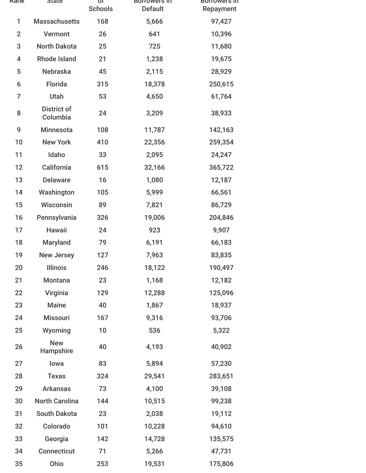| <b>Rank</b>             | ыате                           | OT<br><b>Schools</b> | <b>BOITOWERS IN</b><br><b>Default</b> | <b>BOITOWERS IN</b><br>Repayment |
|-------------------------|--------------------------------|----------------------|---------------------------------------|----------------------------------|
| 1                       | <b>Massachusetts</b>           | 168                  | 5,666                                 | 97,427                           |
| $\overline{2}$          | Vermont                        | 26                   | 641                                   | 10,396                           |
| 3                       | <b>North Dakota</b>            | 25                   | 725                                   | 11,680                           |
| $\overline{\mathbf{4}}$ | <b>Rhode Island</b>            | 21                   | 1,238                                 | 19,675                           |
| 5                       | <b>Nebraska</b>                | 45                   | 2,115                                 | 28,929                           |
| 6                       | <b>Florida</b>                 | 315                  | 18,378                                | 250,615                          |
| $\overline{7}$          | Utah                           | 53                   | 4,650                                 | 61,764                           |
| 8                       | <b>District of</b><br>Columbia | 24                   | 3,209                                 | 38,933                           |
| 9                       | <b>Minnesota</b>               | 108                  | 11,787                                | 142,163                          |
| 10                      | <b>New York</b>                | 410                  | 22,356                                | 259,354                          |
| 11                      | Idaho                          | 33                   | 2,095                                 | 24,247                           |
| 12                      | California                     | 615                  | 32,166                                | 365,722                          |
| 13                      | <b>Delaware</b>                | 16                   | 1,080                                 | 12,187                           |
| 14                      | Washington                     | 105                  | 5,999                                 | 66,561                           |
| 15                      | Wisconsin                      | 89                   | 7,821                                 | 86,729                           |
| 16                      | Pennsylvania                   | 326                  | 19,006                                | 204,846                          |
| 17                      | <b>Hawaii</b>                  | 24                   | 923                                   | 9,907                            |
| 18                      | <b>Maryland</b>                | 79                   | 6,191                                 | 66,183                           |
| 19                      | <b>New Jersey</b>              | 127                  | 7,963                                 | 83,835                           |
| 20                      | <b>Illinois</b>                | 246                  | 18,122                                | 190,497                          |
| 21                      | <b>Montana</b>                 | 23                   | 1,168                                 | 12,182                           |
| 22                      | Virginia                       | 129                  | 12,288                                | 125,096                          |
| 23                      | <b>Maine</b>                   | 40                   | 1,867                                 | 18,937                           |
| 24                      | <b>Missouri</b>                | 167                  | 9,316                                 | 93,706                           |
| 25                      | Wyoming                        | 10                   | 536                                   | 5,322                            |
| 26                      | <b>New</b><br>Hampshire        | 40                   | 4,193                                 | 40,902                           |
| 27                      | lowa                           | 83                   | 5,894                                 | 57,230                           |
| 28                      | <b>Texas</b>                   | 324                  | 29,541                                | 283,651                          |
| 29                      | <b>Arkansas</b>                | 73                   | 4,100                                 | 39,108                           |
| 30                      | <b>North Carolina</b>          | 144                  | 10,515                                | 99,238                           |
| 31                      | <b>South Dakota</b>            | 23                   | 2,038                                 | 19,112                           |
| 32                      | Colorado                       | 101                  | 10,228                                | 94,610                           |
| 33                      | Georgia                        | 142                  | 14,728                                | 135,575                          |
| 34                      | <b>Connecticut</b>             | 71                   | 5,266                                 | 47,731                           |
| 35                      | Ohio                           | 253                  | 19,531                                | 175,806                          |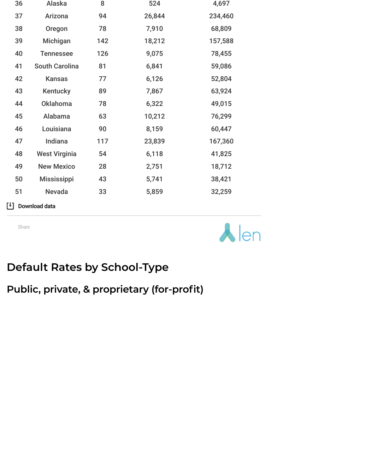| 36 | Alaska                | 8   | 524    | 4,697   |
|----|-----------------------|-----|--------|---------|
| 37 | Arizona               | 94  | 26,844 | 234,460 |
| 38 | Oregon                | 78  | 7,910  | 68,809  |
| 39 | Michigan              | 142 | 18,212 | 157,588 |
| 40 | <b>Tennessee</b>      | 126 | 9,075  | 78,455  |
| 41 | <b>South Carolina</b> | 81  | 6,841  | 59,086  |
| 42 | <b>Kansas</b>         | 77  | 6,126  | 52,804  |
| 43 | Kentucky              | 89  | 7,867  | 63,924  |
| 44 | <b>Oklahoma</b>       | 78  | 6,322  | 49,015  |
| 45 | Alabama               | 63  | 10,212 | 76,299  |
| 46 | Louisiana             | 90  | 8,159  | 60,447  |
| 47 | <b>Indiana</b>        | 117 | 23,839 | 167,360 |
| 48 | <b>West Virginia</b>  | 54  | 6,118  | 41,825  |
| 49 | <b>New Mexico</b>     | 28  | 2,751  | 18,712  |
| 50 | <b>Mississippi</b>    | 43  | 5,741  | 38,421  |
| 51 | <b>Nevada</b>         | 33  | 5,859  | 32,259  |
|    |                       |     |        |         |

**Download data** 

Share



## **Default Rates by School-Type**

**Public, private, & proprietary (for-profit)**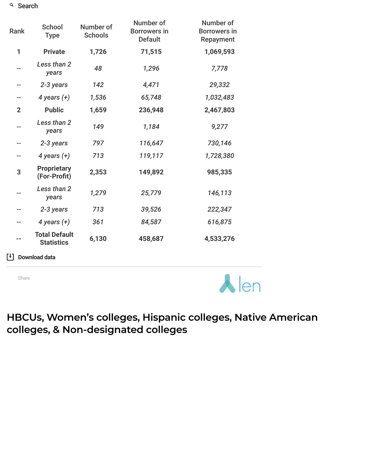| <b>Rank</b>  | <b>School</b><br><b>Type</b>              | Number of<br><b>Schools</b> | Number of<br><b>Borrowers in</b><br><b>Default</b> | Number of<br><b>Borrowers in</b><br>Repayment |
|--------------|-------------------------------------------|-----------------------------|----------------------------------------------------|-----------------------------------------------|
| 1            | <b>Private</b>                            | 1,726                       | 71,515                                             | 1,069,593                                     |
|              | Less than 2<br>years                      | 48                          | 1,296                                              | 7,778                                         |
| --           | 2-3 years                                 | 142                         | 4,471                                              | 29,332                                        |
| --           | 4 years $(+)$                             | 1,536                       | 65,748                                             | 1,032,483                                     |
| $\mathbf{2}$ | <b>Public</b>                             | 1,659                       | 236,948                                            | 2,467,803                                     |
|              | Less than 2<br>years                      | 149                         | 1,184                                              | 9,277                                         |
| --           | 2-3 years                                 | 797                         | 116,647                                            | 730,146                                       |
| --           | 4 years $(+)$                             | 713                         | 119,117                                            | 1,728,380                                     |
| 3            | <b>Proprietary</b><br>(For-Profit)        | 2,353                       | 149,892                                            | 985,335                                       |
|              | Less than 2<br>years                      | 1,279                       | 25,779                                             | 146,113                                       |
|              | 2-3 years                                 | 713                         | 39,526                                             | 222,347                                       |
|              | 4 years $(+)$                             | 361                         | 84,587                                             | 616,875                                       |
|              | <b>Total Default</b><br><b>Statistics</b> | 6,130                       | 458,687                                            | 4,533,276                                     |

Download data

Share



**HBCUs, Women's colleges, Hispanic colleges, Native American colleges, & Non-designated colleges**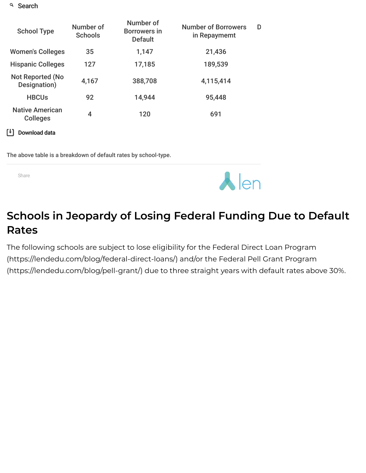| <b>School Type</b>                        | Number of<br><b>Schools</b> | Number of<br><b>Borrowers in</b><br><b>Default</b> | <b>Number of Borrowers</b><br>in Repaymemt | D |
|-------------------------------------------|-----------------------------|----------------------------------------------------|--------------------------------------------|---|
| <b>Women's Colleges</b>                   | 35                          | 1,147                                              | 21,436                                     |   |
| <b>Hispanic Colleges</b>                  | 127                         | 17,185                                             | 189,539                                    |   |
| <b>Not Reported (No</b><br>Designation)   | 4,167                       | 388,708                                            | 4,115,414                                  |   |
| <b>HBCUs</b>                              | 92                          | 14,944                                             | 95,448                                     |   |
| <b>Native American</b><br><b>Colleges</b> | $\overline{4}$              | 120                                                | 691                                        |   |
| Download data                             |                             |                                                    |                                            |   |

The above table is a breakdown of default rates by school-type.

Share



# **Schools in Jeopardy of Losing Federal Funding Due to Default Rates**

The following schools are subject to lose eligibility for the Federal Direct Loan Program [\(https://lendedu.com/blog/federal-direct-loans/\)](https://lendedu.com/blog/federal-direct-loans/) and/or the Federal Pell Grant Program (https://lendedu.com/blog/pell-grant/) due to three straight years with default rates above 30%.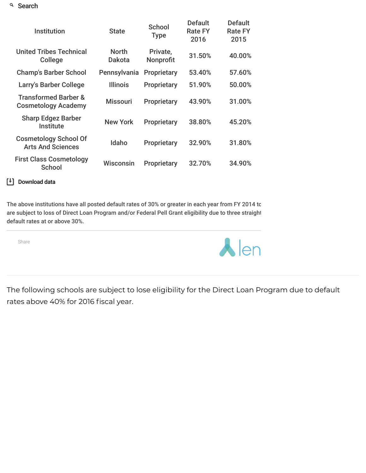| <b>Institution</b>                                            | <b>State</b>           | School<br><b>Type</b> | <b>Default</b><br><b>Rate FY</b><br>2016 | <b>Default</b><br><b>Rate FY</b><br>2015 |
|---------------------------------------------------------------|------------------------|-----------------------|------------------------------------------|------------------------------------------|
| <b>United Tribes Technical</b><br><b>College</b>              | <b>North</b><br>Dakota | Private,<br>Nonprofit | 31.50%                                   | 40.00%                                   |
| <b>Champ's Barber School</b>                                  | Pennsylvania           | <b>Proprietary</b>    | 53.40%                                   | 57.60%                                   |
| Larry's Barber College                                        | <b>Illinois</b>        | <b>Proprietary</b>    | 51.90%                                   | 50.00%                                   |
| <b>Transformed Barber &amp;</b><br><b>Cosmetology Academy</b> | <b>Missouri</b>        | <b>Proprietary</b>    | 43.90%                                   | 31.00%                                   |
| <b>Sharp Edgez Barber</b><br><b>Institute</b>                 | <b>New York</b>        | Proprietary           | 38.80%                                   | 45.20%                                   |
| <b>Cosmetology School Of</b><br><b>Arts And Sciences</b>      | Idaho                  | Proprietary           | 32.90%                                   | 31.80%                                   |
| <b>First Class Cosmetology</b><br><b>School</b>               | Wisconsin              | <b>Proprietary</b>    | 32.70%                                   | 34.90%                                   |

### Download data

The above institutions have all posted default rates of 30% or greater in each year from FY 2014 to are subject to loss of Direct Loan Program and/or Federal Pell Grant eligibility due to three straight default rates at or above 30%.

Share



The following schools are subject to lose eligibility for the Direct Loan Program due to default rates above 40% for 2016 fiscal year.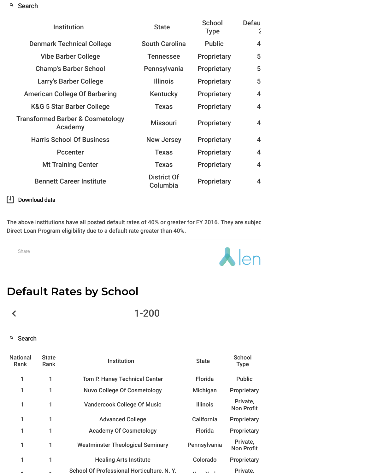| <b>Institution</b>                                     | <b>State</b>                   | <b>School</b><br><b>Type</b> | Defau<br>$\mathbf{z}$ |
|--------------------------------------------------------|--------------------------------|------------------------------|-----------------------|
| <b>Denmark Technical College</b>                       | <b>South Carolina</b>          | <b>Public</b>                | 4                     |
| <b>Vibe Barber College</b>                             | <b>Tennessee</b>               | Proprietary                  | 5                     |
| <b>Champ's Barber School</b>                           | Pennsylvania                   | Proprietary                  | 5                     |
| Larry's Barber College                                 | <b>Illinois</b>                | <b>Proprietary</b>           | 5                     |
| <b>American College Of Barbering</b>                   | <b>Kentucky</b>                | Proprietary                  | 4                     |
| <b>K&amp;G 5 Star Barber College</b>                   | <b>Texas</b>                   | Proprietary                  | 4                     |
| <b>Transformed Barber &amp; Cosmetology</b><br>Academy | <b>Missouri</b>                | Proprietary                  | 4                     |
| <b>Harris School Of Business</b>                       | <b>New Jersey</b>              | <b>Proprietary</b>           | 4                     |
| <b>Pccenter</b>                                        | <b>Texas</b>                   | <b>Proprietary</b>           | 4                     |
| <b>Mt Training Center</b>                              | <b>Texas</b>                   | <b>Proprietary</b>           | 4                     |
| <b>Bennett Career Institute</b>                        | <b>District Of</b><br>Columbia | Proprietary                  | 4                     |

#### Download data

The above institutions have all posted default rates of 40% or greater for FY 2016. They are subjec Direct Loan Program eligibility due to a default rate greater than 40%.

Share



## **Default Rates by School**

 $\left\langle$ 

1-200

#### <sup>Q</sup> Search

1 1

| <b>National</b><br>Rank | <b>State</b><br>Rank | Institution                               | <b>State</b>    | School<br><b>Type</b>         |
|-------------------------|----------------------|-------------------------------------------|-----------------|-------------------------------|
| 1                       |                      | Tom P. Haney Technical Center             | Florida         | Public                        |
|                         |                      | <b>Nuvo College Of Cosmetology</b>        | Michigan        | Proprietary                   |
| 1                       | 1                    | <b>Vandercook College Of Music</b>        | <b>Illinois</b> | Private.<br><b>Non Profit</b> |
|                         |                      | <b>Advanced College</b>                   | California      | Proprietary                   |
| 1                       | 1                    | <b>Academy Of Cosmetology</b>             | Florida         | Proprietary                   |
| 1                       | 1                    | <b>Westminster Theological Seminary</b>   | Pennsylvania    | Private,<br><b>Non Profit</b> |
|                         | 1                    | <b>Healing Arts Institute</b>             | Colorado        | Proprietary                   |
|                         |                      | School Of Professional Horticulture, N.Y. |                 | <b>Private</b>                |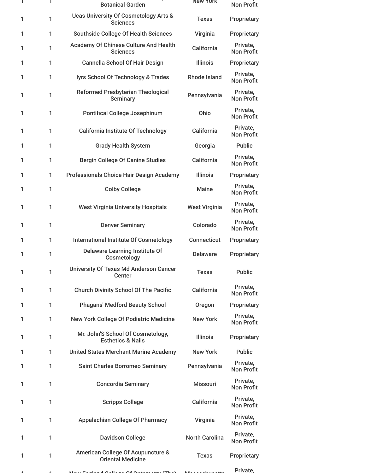|   | Τ | <b>Botanical Garden</b>                                             | New York              | <b>Non Profit</b>             |
|---|---|---------------------------------------------------------------------|-----------------------|-------------------------------|
| 1 | 1 | <b>Ucas University Of Cosmetology Arts &amp;</b><br><b>Sciences</b> | <b>Texas</b>          | Proprietary                   |
| 1 | 1 | <b>Southside College Of Health Sciences</b>                         | Virginia              | Proprietary                   |
| 1 | 1 | Academy Of Chinese Culture And Health<br><b>Sciences</b>            | California            | Private,<br><b>Non Profit</b> |
| 1 | 1 | <b>Cannella School Of Hair Design</b>                               | <b>Illinois</b>       | Proprietary                   |
| 1 | 1 | lyrs School Of Technology & Trades                                  | <b>Rhode Island</b>   | Private,<br><b>Non Profit</b> |
| 1 | 1 | <b>Reformed Presbyterian Theological</b><br><b>Seminary</b>         | Pennsylvania          | Private,<br><b>Non Profit</b> |
| 1 | 1 | <b>Pontifical College Josephinum</b>                                | Ohio                  | Private,<br><b>Non Profit</b> |
| 1 | 1 | <b>California Institute Of Technology</b>                           | California            | Private,<br><b>Non Profit</b> |
| 1 | 1 | <b>Grady Health System</b>                                          | Georgia               | <b>Public</b>                 |
| 1 | 1 | <b>Bergin College Of Canine Studies</b>                             | California            | Private,<br><b>Non Profit</b> |
| 1 | 1 | Professionals Choice Hair Design Academy                            | <b>Illinois</b>       | Proprietary                   |
| 1 | 1 | <b>Colby College</b>                                                | <b>Maine</b>          | Private,<br><b>Non Profit</b> |
| 1 | 1 | <b>West Virginia University Hospitals</b>                           | <b>West Virginia</b>  | Private,<br><b>Non Profit</b> |
| 1 | 1 | <b>Denver Seminary</b>                                              | Colorado              | Private,<br><b>Non Profit</b> |
| 1 | 1 | <b>International Institute Of Cosmetology</b>                       | <b>Connecticut</b>    | Proprietary                   |
| 1 | 1 | <b>Delaware Learning Institute Of</b><br>Cosmetology                | <b>Delaware</b>       | Proprietary                   |
| 1 | 1 | University Of Texas Md Anderson Cancer<br>Center                    | <b>Texas</b>          | <b>Public</b>                 |
| 1 | 1 | <b>Church Divinity School Of The Pacific</b>                        | California            | Private,<br><b>Non Profit</b> |
| 1 | 1 | <b>Phagans' Medford Beauty School</b>                               | Oregon                | Proprietary                   |
| 1 | 1 | <b>New York College Of Podiatric Medicine</b>                       | <b>New York</b>       | Private,<br><b>Non Profit</b> |
| 1 | 1 | Mr. John'S School Of Cosmetology,<br><b>Esthetics &amp; Nails</b>   | <b>Illinois</b>       | Proprietary                   |
| 1 | 1 | <b>United States Merchant Marine Academy</b>                        | <b>New York</b>       | <b>Public</b>                 |
| 1 | 1 | Saint Charles Borromeo Seminary                                     | Pennsylvania          | Private,<br><b>Non Profit</b> |
| 1 | 1 | <b>Concordia Seminary</b>                                           | <b>Missouri</b>       | Private,<br><b>Non Profit</b> |
| 1 | 1 | <b>Scripps College</b>                                              | California            | Private,<br><b>Non Profit</b> |
| 1 | 1 | <b>Appalachian College Of Pharmacy</b>                              | Virginia              | Private,<br><b>Non Profit</b> |
| 1 | 1 | <b>Davidson College</b>                                             | <b>North Carolina</b> | Private,<br><b>Non Profit</b> |
| 1 | 1 | American College Of Acupuncture &<br><b>Oriental Medicine</b>       | <b>Texas</b>          | Proprietary                   |
|   |   |                                                                     |                       | Private,                      |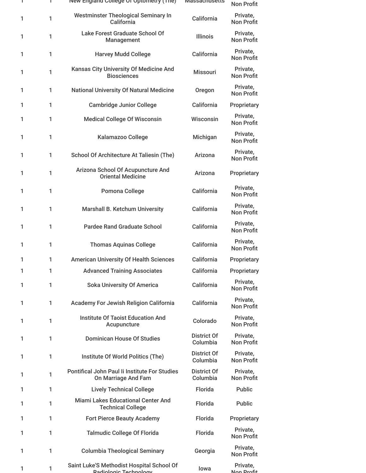| L | J. | New England College Of Optometry (The)                                | <b>Massachusetts</b>           | <b>Non Profit</b>             |
|---|----|-----------------------------------------------------------------------|--------------------------------|-------------------------------|
| 1 | 1  | Westminster Theological Seminary In<br>California                     | California                     | Private,<br><b>Non Profit</b> |
| 1 | 1  | <b>Lake Forest Graduate School Of</b><br>Management                   | <b>Illinois</b>                | Private,<br><b>Non Profit</b> |
| 1 | 1  | <b>Harvey Mudd College</b>                                            | California                     | Private,<br><b>Non Profit</b> |
| 1 | 1  | Kansas City University Of Medicine And<br><b>Biosciences</b>          | <b>Missouri</b>                | Private,<br><b>Non Profit</b> |
| 1 | 1  | <b>National University Of Natural Medicine</b>                        | Oregon                         | Private,<br><b>Non Profit</b> |
| 1 | 1  | <b>Cambridge Junior College</b>                                       | California                     | Proprietary                   |
| 1 | 1  | <b>Medical College Of Wisconsin</b>                                   | Wisconsin                      | Private,<br><b>Non Profit</b> |
| 1 | 1  | Kalamazoo College                                                     | Michigan                       | Private,<br><b>Non Profit</b> |
| 1 | 1  | School Of Architecture At Taliesin (The)                              | Arizona                        | Private,<br><b>Non Profit</b> |
| 1 | 1  | Arizona School Of Acupuncture And<br><b>Oriental Medicine</b>         | Arizona                        | Proprietary                   |
| 1 | 1  | Pomona College                                                        | California                     | Private,<br><b>Non Profit</b> |
| 1 | 1  | Marshall B. Ketchum University                                        | California                     | Private,<br><b>Non Profit</b> |
| 1 | 1  | <b>Pardee Rand Graduate School</b>                                    | California                     | Private,<br><b>Non Profit</b> |
| 1 | 1  | <b>Thomas Aquinas College</b>                                         | California                     | Private,<br><b>Non Profit</b> |
| 1 | 1  | <b>American University Of Health Sciences</b>                         | California                     | Proprietary                   |
| 1 | 1  | <b>Advanced Training Associates</b>                                   | California                     | Proprietary                   |
| 1 | 1  | <b>Soka University Of America</b>                                     | California                     | Private,<br><b>Non Profit</b> |
| 1 | 1  | Academy For Jewish Religion California                                | California                     | Private,<br><b>Non Profit</b> |
| 1 | 1  | <b>Institute Of Taoist Education And</b><br>Acupuncture               | Colorado                       | Private,<br><b>Non Profit</b> |
| 1 | 1  | <b>Dominican House Of Studies</b>                                     | <b>District Of</b><br>Columbia | Private,<br><b>Non Profit</b> |
| 1 | 1  | Institute Of World Politics (The)                                     | <b>District Of</b><br>Columbia | Private,<br><b>Non Profit</b> |
| 1 | 1  | Pontifical John Paul Ii Institute For Studies<br>On Marriage And Fam  | <b>District Of</b><br>Columbia | Private,<br><b>Non Profit</b> |
| 1 | 1  | <b>Lively Technical College</b>                                       | Florida                        | Public                        |
| 1 | 1  | <b>Miami Lakes Educational Center And</b><br><b>Technical College</b> | Florida                        | <b>Public</b>                 |
| 1 | 1  | <b>Fort Pierce Beauty Academy</b>                                     | Florida                        | Proprietary                   |
| 1 | 1  | <b>Talmudic College Of Florida</b>                                    | Florida                        | Private,<br><b>Non Profit</b> |
| 1 | 1  | <b>Columbia Theological Seminary</b>                                  | Georgia                        | Private,<br><b>Non Profit</b> |
| 1 | 1  | Saint Luke'S Methodist Hospital School Of<br>Radiologic Technology    | lowa                           | Private,<br>Non Profit        |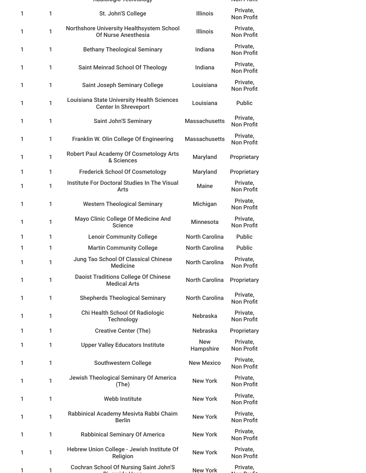|   |   | naunonyno roomnonyy                                                              |                         |                               |
|---|---|----------------------------------------------------------------------------------|-------------------------|-------------------------------|
| 1 | 1 | St. John'S College                                                               | <b>Illinois</b>         | Private,<br><b>Non Profit</b> |
| 1 | 1 | Northshore University Healthsystem School<br>Of Nurse Anesthesia                 | <b>Illinois</b>         | Private,<br><b>Non Profit</b> |
| 1 | 1 | <b>Bethany Theological Seminary</b>                                              | Indiana                 | Private,<br><b>Non Profit</b> |
| 1 | 1 | <b>Saint Meinrad School Of Theology</b>                                          | Indiana                 | Private,<br><b>Non Profit</b> |
| 1 | 1 | <b>Saint Joseph Seminary College</b>                                             | Louisiana               | Private,<br><b>Non Profit</b> |
| 1 | 1 | <b>Louisiana State University Health Sciences</b><br><b>Center In Shreveport</b> | Louisiana               | <b>Public</b>                 |
| 1 | 1 | <b>Saint John'S Seminary</b>                                                     | <b>Massachusetts</b>    | Private,<br><b>Non Profit</b> |
| 1 | 1 | Franklin W. Olin College Of Engineering                                          | <b>Massachusetts</b>    | Private,<br><b>Non Profit</b> |
| 1 | 1 | <b>Robert Paul Academy Of Cosmetology Arts</b><br>& Sciences                     | Maryland                | Proprietary                   |
| 1 | 1 | <b>Frederick School Of Cosmetology</b>                                           | Maryland                | Proprietary                   |
| 1 | 1 | Institute For Doctoral Studies In The Visual<br>Arts                             | <b>Maine</b>            | Private,<br><b>Non Profit</b> |
| 1 | 1 | <b>Western Theological Seminary</b>                                              | Michigan                | Private,<br><b>Non Profit</b> |
| 1 | 1 | Mayo Clinic College Of Medicine And<br><b>Science</b>                            | <b>Minnesota</b>        | Private,<br><b>Non Profit</b> |
| 1 | 1 | <b>Lenoir Community College</b>                                                  | <b>North Carolina</b>   | <b>Public</b>                 |
| 1 | 1 | <b>Martin Community College</b>                                                  | <b>North Carolina</b>   | <b>Public</b>                 |
| 1 | 1 | Jung Tao School Of Classical Chinese<br><b>Medicine</b>                          | <b>North Carolina</b>   | Private,<br><b>Non Profit</b> |
| 1 | 1 | <b>Daoist Traditions College Of Chinese</b><br><b>Medical Arts</b>               | <b>North Carolina</b>   | Proprietary                   |
| 1 | 1 | <b>Shepherds Theological Seminary</b>                                            | <b>North Carolina</b>   | Private,<br><b>Non Profit</b> |
| 1 | 1 | Chi Health School Of Radiologic<br><b>Technology</b>                             | <b>Nebraska</b>         | Private,<br><b>Non Profit</b> |
| 1 | 1 | <b>Creative Center (The)</b>                                                     | <b>Nebraska</b>         | Proprietary                   |
| 1 | 1 | <b>Upper Valley Educators Institute</b>                                          | <b>New</b><br>Hampshire | Private,<br><b>Non Profit</b> |
| 1 | 1 | <b>Southwestern College</b>                                                      | <b>New Mexico</b>       | Private,<br><b>Non Profit</b> |
| 1 | 1 | Jewish Theological Seminary Of America<br>(The)                                  | <b>New York</b>         | Private,<br><b>Non Profit</b> |
| 1 | 1 | <b>Webb Institute</b>                                                            | <b>New York</b>         | Private,<br><b>Non Profit</b> |
| 1 | 1 | Rabbinical Academy Mesivta Rabbi Chaim<br><b>Berlin</b>                          | <b>New York</b>         | Private,<br><b>Non Profit</b> |
| 1 | 1 | <b>Rabbinical Seminary Of America</b>                                            | <b>New York</b>         | Private,<br><b>Non Profit</b> |
| 1 | 1 | Hebrew Union College - Jewish Institute Of<br>Religion                           | <b>New York</b>         | Private,<br><b>Non Profit</b> |
|   | 1 | <b>Cochran School Of Nursing Saint John'S</b>                                    | <b>New York</b>         | Private,                      |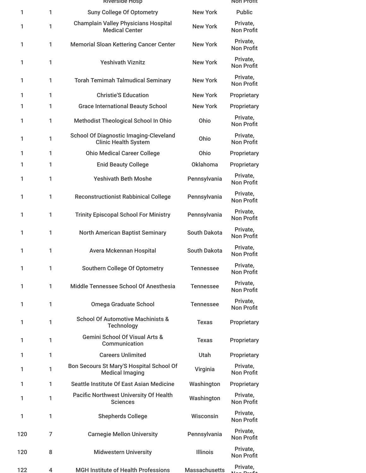|     |   | <b>RIVERSIGE HOSP</b>                                                        |                      | NON Profit                    |
|-----|---|------------------------------------------------------------------------------|----------------------|-------------------------------|
| 1   | 1 | <b>Suny College Of Optometry</b>                                             | <b>New York</b>      | <b>Public</b>                 |
| 1   | 1 | <b>Champlain Valley Physicians Hospital</b><br><b>Medical Center</b>         | <b>New York</b>      | Private,<br><b>Non Profit</b> |
| 1   | 1 | <b>Memorial Sloan Kettering Cancer Center</b>                                | <b>New York</b>      | Private,<br><b>Non Profit</b> |
| 1   | 1 | <b>Yeshivath Viznitz</b>                                                     | <b>New York</b>      | Private,<br><b>Non Profit</b> |
| 1   | 1 | <b>Torah Temimah Talmudical Seminary</b>                                     | <b>New York</b>      | Private.<br><b>Non Profit</b> |
| 1   | 1 | <b>Christie'S Education</b>                                                  | <b>New York</b>      | Proprietary                   |
| 1   | 1 | <b>Grace International Beauty School</b>                                     | <b>New York</b>      | Proprietary                   |
| 1   | 1 | Methodist Theological School In Ohio                                         | Ohio                 | Private,<br><b>Non Profit</b> |
| 1   | 1 | <b>School Of Diagnostic Imaging-Cleveland</b><br><b>Clinic Health System</b> | Ohio                 | Private,<br><b>Non Profit</b> |
| 1   | 1 | <b>Ohio Medical Career College</b>                                           | Ohio                 | Proprietary                   |
| 1   | 1 | <b>Enid Beauty College</b>                                                   | <b>Oklahoma</b>      | Proprietary                   |
| 1   | 1 | <b>Yeshivath Beth Moshe</b>                                                  | Pennsylvania         | Private,<br><b>Non Profit</b> |
| 1   | 1 | <b>Reconstructionist Rabbinical College</b>                                  | Pennsylvania         | Private,<br><b>Non Profit</b> |
| 1   | 1 | <b>Trinity Episcopal School For Ministry</b>                                 | Pennsylvania         | Private,<br><b>Non Profit</b> |
| 1   | 1 | <b>North American Baptist Seminary</b>                                       | South Dakota         | Private,<br><b>Non Profit</b> |
| 1   | 1 | Avera Mckennan Hospital                                                      | <b>South Dakota</b>  | Private,<br><b>Non Profit</b> |
| 1   | 1 | Southern College Of Optometry                                                | <b>Tennessee</b>     | Private,<br><b>Non Profit</b> |
| 1   | 1 | Middle Tennessee School Of Anesthesia                                        | <b>Tennessee</b>     | Private,<br><b>Non Profit</b> |
| 1   | 1 | <b>Omega Graduate School</b>                                                 | <b>Tennessee</b>     | Private,<br><b>Non Profit</b> |
| 1   | 1 | <b>School Of Automotive Machinists &amp;</b><br><b>Technology</b>            | <b>Texas</b>         | Proprietary                   |
| 1   | 1 | <b>Gemini School Of Visual Arts &amp;</b><br>Communication                   | <b>Texas</b>         | Proprietary                   |
| 1   | 1 | <b>Careers Unlimited</b>                                                     | Utah                 | Proprietary                   |
| 1   | 1 | Bon Secours St Mary'S Hospital School Of<br><b>Medical Imaging</b>           | Virginia             | Private,<br><b>Non Profit</b> |
| 1   | 1 | Seattle Institute Of East Asian Medicine                                     | Washington           | Proprietary                   |
| 1   | 1 | <b>Pacific Northwest University Of Health</b><br><b>Sciences</b>             | Washington           | Private,<br><b>Non Profit</b> |
| 1   | 1 | <b>Shepherds College</b>                                                     | Wisconsin            | Private,<br><b>Non Profit</b> |
| 120 | 7 | <b>Carnegie Mellon University</b>                                            | Pennsylvania         | Private,<br><b>Non Profit</b> |
| 120 | 8 | <b>Midwestern University</b>                                                 | <b>Illinois</b>      | Private,<br><b>Non Profit</b> |
| 122 | 4 | <b>MGH Institute of Health Professions</b>                                   | <b>Massachusetts</b> | Private,                      |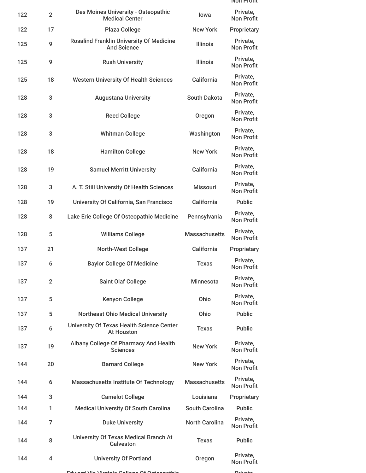|     |                |                                                                       |                       | NON Profit                    |
|-----|----------------|-----------------------------------------------------------------------|-----------------------|-------------------------------|
| 122 | $\overline{2}$ | Des Moines University - Osteopathic<br><b>Medical Center</b>          | lowa                  | Private,<br><b>Non Profit</b> |
| 122 | 17             | <b>Plaza College</b>                                                  | <b>New York</b>       | Proprietary                   |
| 125 | 9              | <b>Rosalind Franklin University Of Medicine</b><br><b>And Science</b> | <b>Illinois</b>       | Private,<br><b>Non Profit</b> |
| 125 | 9              | <b>Rush University</b>                                                | <b>Illinois</b>       | Private,<br><b>Non Profit</b> |
| 125 | 18             | <b>Western University Of Health Sciences</b>                          | California            | Private,<br><b>Non Profit</b> |
| 128 | 3              | <b>Augustana University</b>                                           | <b>South Dakota</b>   | Private,<br><b>Non Profit</b> |
| 128 | 3              | <b>Reed College</b>                                                   | Oregon                | Private,<br><b>Non Profit</b> |
| 128 | 3              | <b>Whitman College</b>                                                | Washington            | Private,<br><b>Non Profit</b> |
| 128 | 18             | <b>Hamilton College</b>                                               | <b>New York</b>       | Private,<br><b>Non Profit</b> |
| 128 | 19             | <b>Samuel Merritt University</b>                                      | California            | Private,<br><b>Non Profit</b> |
| 128 | 3              | A. T. Still University Of Health Sciences                             | <b>Missouri</b>       | Private,<br><b>Non Profit</b> |
| 128 | 19             | University Of California, San Francisco                               | California            | <b>Public</b>                 |
| 128 | 8              | Lake Erie College Of Osteopathic Medicine                             | Pennsylvania          | Private,<br><b>Non Profit</b> |
| 128 | 5              | <b>Williams College</b>                                               | <b>Massachusetts</b>  | Private,<br><b>Non Profit</b> |
| 137 | 21             | North-West College                                                    | California            | Proprietary                   |
| 137 | 6              | <b>Baylor College Of Medicine</b>                                     | <b>Texas</b>          | Private,<br>Non Profit        |
| 137 | $\overline{2}$ | <b>Saint Olaf College</b>                                             | <b>Minnesota</b>      | Private,<br><b>Non Profit</b> |
| 137 | 5              | <b>Kenyon College</b>                                                 | Ohio                  | Private,<br>Non Profit        |
| 137 | 5              | <b>Northeast Ohio Medical University</b>                              | Ohio                  | <b>Public</b>                 |
| 137 | 6              | <b>University Of Texas Health Science Center</b><br><b>At Houston</b> | <b>Texas</b>          | <b>Public</b>                 |
| 137 | 19             | Albany College Of Pharmacy And Health<br><b>Sciences</b>              | <b>New York</b>       | Private,<br><b>Non Profit</b> |
| 144 | 20             | <b>Barnard College</b>                                                | <b>New York</b>       | Private,<br><b>Non Profit</b> |
| 144 | 6              | <b>Massachusetts Institute Of Technology</b>                          | <b>Massachusetts</b>  | Private,<br>Non Profit        |
| 144 | 3              | <b>Camelot College</b>                                                | Louisiana             | Proprietary                   |
| 144 | 1              | <b>Medical University Of South Carolina</b>                           | <b>South Carolina</b> | <b>Public</b>                 |
| 144 | $\overline{7}$ | <b>Duke University</b>                                                | <b>North Carolina</b> | Private,<br><b>Non Profit</b> |
| 144 | 8              | University Of Texas Medical Branch At<br>Galveston                    | <b>Texas</b>          | <b>Public</b>                 |
| 144 | 4              | <b>University Of Portland</b>                                         | Oregon                | Private,<br><b>Non Profit</b> |

Edward Via Virginia College Of Osteopathic Private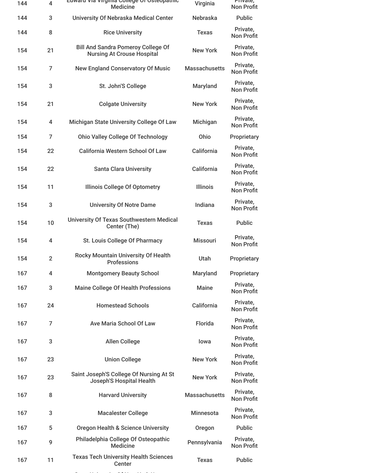| 144 | $\overline{\mathbf{4}}$ | cuwaru via virginia Conege Or Osteopatriic<br><b>Medicine</b>                  | Virginia             | Private,<br><b>Non Profit</b> |
|-----|-------------------------|--------------------------------------------------------------------------------|----------------------|-------------------------------|
| 144 | 3                       | University Of Nebraska Medical Center                                          | Nebraska             | <b>Public</b>                 |
| 144 | 8                       | <b>Rice University</b>                                                         | <b>Texas</b>         | Private,<br><b>Non Profit</b> |
| 154 | 21                      | <b>Bill And Sandra Pomeroy College Of</b><br><b>Nursing At Crouse Hospital</b> | <b>New York</b>      | Private,<br><b>Non Profit</b> |
| 154 | 7                       | <b>New England Conservatory Of Music</b>                                       | <b>Massachusetts</b> | Private,<br><b>Non Profit</b> |
| 154 | 3                       | St. John'S College                                                             | Maryland             | Private,<br><b>Non Profit</b> |
| 154 | 21                      | <b>Colgate University</b>                                                      | <b>New York</b>      | Private,<br><b>Non Profit</b> |
| 154 | 4                       | Michigan State University College Of Law                                       | Michigan             | Private,<br><b>Non Profit</b> |
| 154 | $\overline{7}$          | <b>Ohio Valley College Of Technology</b>                                       | Ohio                 | Proprietary                   |
| 154 | 22                      | <b>California Western School Of Law</b>                                        | California           | Private,<br><b>Non Profit</b> |
| 154 | 22                      | <b>Santa Clara University</b>                                                  | California           | Private,<br><b>Non Profit</b> |
| 154 | 11                      | <b>Illinois College Of Optometry</b>                                           | <b>Illinois</b>      | Private,<br><b>Non Profit</b> |
| 154 | 3                       | <b>University Of Notre Dame</b>                                                | Indiana              | Private,<br><b>Non Profit</b> |
| 154 | 10                      | <b>University Of Texas Southwestern Medical</b><br>Center (The)                | <b>Texas</b>         | <b>Public</b>                 |
| 154 | 4                       | St. Louis College Of Pharmacy                                                  | <b>Missouri</b>      | Private,<br><b>Non Profit</b> |
| 154 | $\overline{2}$          | <b>Rocky Mountain University Of Health</b><br><b>Professions</b>               | Utah                 | Proprietary                   |
| 167 | 4                       | <b>Montgomery Beauty School</b>                                                | Maryland             | Proprietary                   |
| 167 | 3                       | <b>Maine College Of Health Professions</b>                                     | <b>Maine</b>         | Private,<br><b>Non Profit</b> |
| 167 | 24                      | <b>Homestead Schools</b>                                                       | California           | Private,<br><b>Non Profit</b> |
| 167 | 7                       | <b>Ave Maria School Of Law</b>                                                 | Florida              | Private,<br><b>Non Profit</b> |
| 167 | 3                       | <b>Allen College</b>                                                           | lowa                 | Private,<br>Non Profit        |
| 167 | 23                      | <b>Union College</b>                                                           | <b>New York</b>      | Private,<br><b>Non Profit</b> |
| 167 | 23                      | Saint Joseph'S College Of Nursing At St<br><b>Joseph'S Hospital Health</b>     | <b>New York</b>      | Private,<br><b>Non Profit</b> |
| 167 | 8                       | <b>Harvard University</b>                                                      | <b>Massachusetts</b> | Private,<br><b>Non Profit</b> |
| 167 | 3                       | <b>Macalester College</b>                                                      | <b>Minnesota</b>     | Private,<br><b>Non Profit</b> |
| 167 | 5                       | <b>Oregon Health &amp; Science University</b>                                  | Oregon               | <b>Public</b>                 |
| 167 | 9                       | Philadelphia College Of Osteopathic<br><b>Medicine</b>                         | Pennsylvania         | Private,<br><b>Non Profit</b> |
| 167 | 11                      | <b>Texas Tech University Health Sciences</b><br>Center                         | <b>Texas</b>         | <b>Public</b>                 |

S U i i la Senata U i de la Senata U i o senata U i o senata U i Of N Y LO I i O i Of N Y LO I I I i O i Of N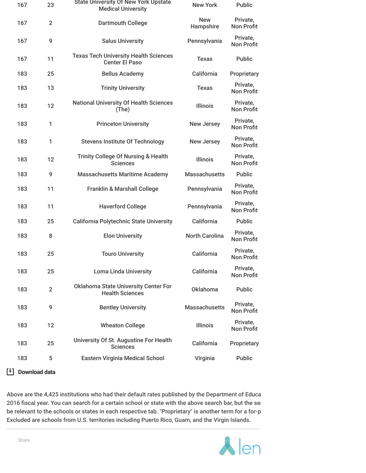| 167 | 23             | <b>State University Of New York Upstate</b><br><b>Medical University</b> | <b>New York</b>         | <b>Public</b>                 |
|-----|----------------|--------------------------------------------------------------------------|-------------------------|-------------------------------|
| 167 | $\overline{2}$ | <b>Dartmouth College</b>                                                 | <b>New</b><br>Hampshire | Private,<br><b>Non Profit</b> |
| 167 | 9              | <b>Salus University</b>                                                  | Pennsylvania            | Private,<br><b>Non Profit</b> |
| 167 | 11             | <b>Texas Tech University Health Sciences</b><br><b>Center El Paso</b>    | <b>Texas</b>            | Public                        |
| 183 | 25             | <b>Bellus Academy</b>                                                    | California              | Proprietary                   |
| 183 | 13             | <b>Trinity University</b>                                                | <b>Texas</b>            | Private,<br><b>Non Profit</b> |
| 183 | 12             | <b>National University Of Health Sciences</b><br>(The)                   | <b>Illinois</b>         | Private,<br><b>Non Profit</b> |
| 183 | 1              | <b>Princeton University</b>                                              | <b>New Jersey</b>       | Private,<br><b>Non Profit</b> |
| 183 | 1              | <b>Stevens Institute Of Technology</b>                                   | <b>New Jersey</b>       | Private,<br><b>Non Profit</b> |
| 183 | 12             | <b>Trinity College Of Nursing &amp; Health</b><br><b>Sciences</b>        | <b>Illinois</b>         | Private,<br><b>Non Profit</b> |
| 183 | 9              | <b>Massachusetts Maritime Academy</b>                                    | <b>Massachusetts</b>    | <b>Public</b>                 |
| 183 | 11             | <b>Franklin &amp; Marshall College</b>                                   | Pennsylvania            | Private,<br><b>Non Profit</b> |
| 183 | 11             | <b>Haverford College</b>                                                 | Pennsylvania            | Private,<br><b>Non Profit</b> |
| 183 | 25             | <b>California Polytechnic State University</b>                           | California              | <b>Public</b>                 |
| 183 | 8              | <b>Elon University</b>                                                   | <b>North Carolina</b>   | Private,<br><b>Non Profit</b> |
| 183 | 25             | <b>Touro University</b>                                                  | California              | Private,<br><b>Non Profit</b> |
| 183 | 25             | <b>Loma Linda University</b>                                             | California              | Private,<br><b>Non Profit</b> |
| 183 | $\overline{2}$ | <b>Oklahoma State University Center For</b><br><b>Health Sciences</b>    | <b>Oklahoma</b>         | <b>Public</b>                 |
| 183 | 9              | <b>Bentley University</b>                                                | <b>Massachusetts</b>    | Private,<br><b>Non Profit</b> |
| 183 | 12             | <b>Wheaton College</b>                                                   | <b>Illinois</b>         | Private,<br><b>Non Profit</b> |
| 183 | 25             | University Of St. Augustine For Health<br><b>Sciences</b>                | California              | Proprietary                   |
| 183 | 5              | <b>Eastern Virginia Medical School</b>                                   | Virginia                | <b>Public</b>                 |
|     |                |                                                                          |                         |                               |

### Download data

Above are the 4,425 institutions who had their default rates published by the Department of Educa 2016 fiscal year. You can search for a certain school or state with the above search bar, but the set be relevant to the schools or states in each respective tab. "Proprietary" is another term for a for-p Excluded are schools from U.S. territories including Puerto Rico, Guam, and the Virgin Islands.

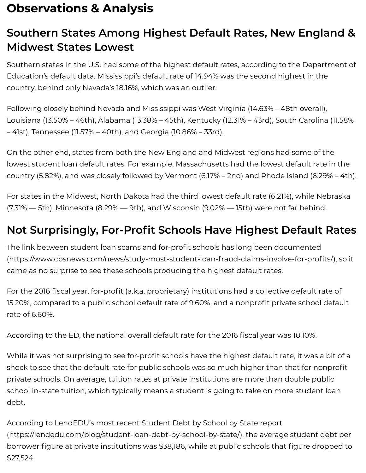# **Observations & Analysis**

## **Southern States Among Highest Default Rates, New England & Midwest States Lowest**

Southern states in the U.S. had some of the highest default rates, according to the Department of Education's default data. Mississippi's default rate of 14.94% was the second highest in the country, behind only Nevada's 18.16%, which was an outlier.

Following closely behind Nevada and Mississippi was West Virginia (14.63% – 48th overall), Louisiana (13.50% – 46th), Alabama (13.38% – 45th), Kentucky (12.31% – 43rd), South Carolina (11.58% – 41st), Tennessee (11.57% – 40th), and Georgia (10.86% – 33rd).

On the other end, states from both the New England and Midwest regions had some of the lowest student loan default rates. For example, Massachusetts had the lowest default rate in the country (5.82%), and was closely followed by Vermont (6.17% – 2nd) and Rhode Island (6.29% – 4th).

For states in the Midwest, North Dakota had the third lowest default rate (6.21%), while Nebraska  $(7.31\% - 5th)$ , Minnesota (8.29%  $-$  9th), and Wisconsin (9.02%  $-$  15th) were not far behind.

## **Not Surprisingly, For-Prot Schools Have Highest Default Rates**

The link between student loan scams and for-profit schools has long been documented (https://www.cbsnews.com/news/study-most-student-loan-fraud-claims-involve-for-profits/), so it came as no surprise to see these schools producing the highest default rates.

For the 2016 fiscal year, for-profit (a.k.a. proprietary) institutions had a collective default rate of 15.20%, compared to a public school default rate of 9.60%, and a nonprofit private school default rate of 6.60%.

According to the ED, the national overall default rate for the 2016 fiscal year was 10.10%.

While it was not surprising to see for-profit schools have the highest default rate, it was a bit of a shock to see that the default rate for public schools was so much higher than that for nonprofit private schools. On average, tuition rates at private institutions are more than double public school in-state tuition, which typically means a student is going to take on more student loan debt.

According to LendEDU's most recent Student Debt by School by State report [\(https://lendedu.com/blog/student-loan-debt-by-school-by-state/\),](https://lendedu.com/blog/student-loan-debt-by-school-by-state/) the average student debt per borrower figure at private institutions was \$38,186, while at public schools that figure dropped to \$27,524.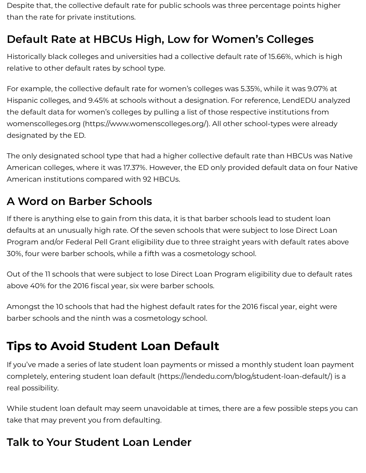Despite that, the collective default rate for public schools was three percentage points higher than the rate for private institutions.

## **Default Rate at HBCUs High, Low for Women's Colleges**

Historically black colleges and universities had a collective default rate of 15.66%, which is high relative to other default rates by school type.

For example, the collective default rate for women's colleges was 5.35%, while it was 9.07% at Hispanic colleges, and 9.45% at schools without a designation. For reference, LendEDU analyzed the default data for women's colleges by pulling a list of those respective institutions from womenscolleges.org [\(https://www.womenscolleges.org/\).](https://www.womenscolleges.org/) All other school-types were already designated by the ED.

The only designated school type that had a higher collective default rate than HBCUs was Native American colleges, where it was 17.37%. However, the ED only provided default data on four Native American institutions compared with 92 HBCUs.

## **A Word on Barber Schools**

If there is anything else to gain from this data, it is that barber schools lead to student loan defaults at an unusually high rate. Of the seven schools that were subject to lose Direct Loan Program and/or Federal Pell Grant eligibility due to three straight years with default rates above 30%, four were barber schools, while a fifth was a cosmetology school.

Out of the 11 schools that were subject to lose Direct Loan Program eligibility due to default rates above 40% for the 2016 fiscal year, six were barber schools.

Amongst the 10 schools that had the highest default rates for the 2016 fiscal year, eight were barber schools and the ninth was a cosmetology school.

# **Tips to Avoid Student Loan Default**

If you've made a series of late student loan payments or missed a monthly student loan payment completely, entering student loan default [\(https://lendedu.com/blog/student-loan-default/\)](https://lendedu.com/blog/student-loan-default/) is a real possibility.

While student loan default may seem unavoidable at times, there are a few possible steps you can take that may prevent you from defaulting.

## **Talk to Your Student Loan Lender**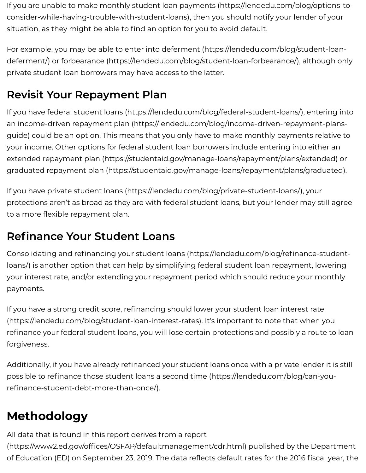If you are unable to make monthly student loan payments (https://lendedu.com/blog/options-to[consider-while-having-trouble-with-student-loans\),](https://lendedu.com/blog/options-to-consider-while-having-trouble-with-student-loans) then you should notify your lender of your situation, as they might be able to find an option for you to avoid default.

For example, you may be able to enter into deferment (https://lendedu.com/blog/student-loandeferment/) or forbearance [\(https://lendedu.com/blog/student-loan-forbearance/\),](https://lendedu.com/blog/student-loan-deferment/) although only private student loan borrowers may have access to the latter.

## **Revisit Your Repayment Plan**

If you have federal student loans [\(https://lendedu.com/blog/federal-student-loans/\),](https://lendedu.com/blog/federal-student-loans/) entering into an income-driven repayment plan [\(https://lendedu.com/blog/income-driven-repayment-plans](https://lendedu.com/blog/income-driven-repayment-plans-guide)guide) could be an option. This means that you only have to make monthly payments relative to your income. Other options for federal student loan borrowers include entering into either an extended repayment plan [\(https://studentaid.gov/manage-loans/repayment/plans/extended\)](https://studentaid.gov/manage-loans/repayment/plans/extended) or graduated repayment plan [\(https://studentaid.gov/manage-loans/repayment/plans/graduated\)](https://studentaid.gov/manage-loans/repayment/plans/graduated).

If you have private student loans [\(https://lendedu.com/blog/private-student-loans/\)](https://lendedu.com/blog/private-student-loans/), your protections aren't as broad as they are with federal student loans, but your lender may still agree to a more flexible repayment plan.

## **Refinance Your Student Loans**

Consolidating and refinancing your student loans (https://lendedu.com/blog/refinance-studentloans/) is another option that can help by simplifying federal student loan repayment, lowering your interest rate, and/or extending your repayment period which should reduce your monthly payments.

If you have a strong credit score, refinancing should lower your student loan interest rate [\(https://lendedu.com/blog/student-loan-interest-rates\).](https://lendedu.com/blog/student-loan-interest-rates) It's important to note that when you refinance your federal student loans, you will lose certain protections and possibly a route to loan forgiveness.

Additionally, if you have already refinanced your student loans once with a private lender it is still possible to refinance those student loans a second time (https://lendedu.com/blog/can-yourefinance-student-debt-more-than-once/).

## **Methodology**

All data that is found in this report derives from a report

(https://www2.ed.gov/offices/OSFAP/defaultmanagement/cdr.html) published by the Department of Education (ED) on September 23, 2019. The data reflects default rates for the 2016 fiscal year, the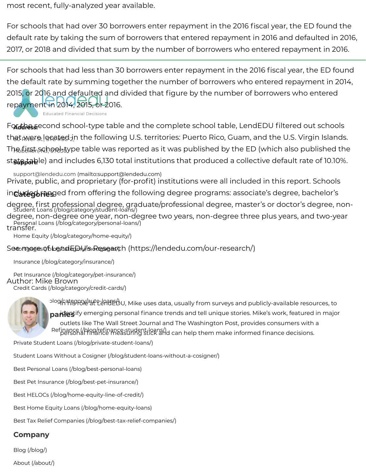most recent, fully-analyzed year available.

For schools that had over 30 borrowers enter repayment in the 2016 fiscal year, the ED found the default rate by taking the sum of borrowers that entered repayment in 2016 and defaulted in 2016, 2017, or 2018 and divided that sum by the number of borrowers who entered repayment in 2016.

For schools that had less than 30 borrowers enter repayment in the 2016 fiscal year, the ED found the default rate by summing together the number of borrowers who entered repayment in 2014, 2015, or 2016 and defaulted and divided that figure by the number of borrowers who entered repayment in 2014, 2015, or 2016.

**Educated Financial Decisions** 

Ford the second school-type table and the complete school table, LendEDU filtered out schools that wer<u>e located i</u>n the following U.S. territories: Puerto Rico, Guam, and the U.S. Virgin Islands. Thകൂ $\mathfrak{f}$ i), The  $\mathfrak{f}$  is stable was reported as it was published by the ED (which also published the st**at<sub>Bibale</sub>le) and includes 6,130 total institutions that produced a collective default rate of 10.10%.** 

support@lendedu.com [\(mailto:support@lendedu.com\)](mailto:support@lendedu.com) in**cl+rdeg6ræg**ed from offering the following degree programs: associate's degree, bachelor's Private, public, and proprietary (for-profit) institutions were all included in this report. Schools

degree, first professional degree, graduate/professional degree, master's or doctor's degree, non-<br>Student Loans [\(/blog/category/student-loans/\)](https://lendedu.com/blog/category/student-loans/) Personal Loans [\(/blog/category/personal-loans/\)](https://lendedu.com/blog/category/personal-loans/) degree, non-degree one year, non-degree two years, non-degree three plus years, and two-year transfer.

Home Equity [\(/blog/category/home-equity/\)](https://lendedu.com/blog/category/home-equity/)

#### Seകേന്ദുരുട്രേുന്ദി<del>ം ()</del>ശ്മിപ്പിച്ചിച്ചിട്ടുള്ളേക്ക്സ് [\(https://lendedu.com/our-research/\)](https://lendedu.com/our-research/)

Insurance [\(/blog/category/insurance/\)](https://lendedu.com/blog/category/insurance/)

Pet Insurance [\(/blog/category/pet-insurance/\)](https://lendedu.com/blog/category/pet-insurance/) Credit Cards [\(/blog/category/credit-cards/\)](https://lendedu.com/blog/category/credit-cards/) Author: Mike Brown



**Automage Coans and publicly-available resources, to** and publicly-available resources, to **Bestim paries:** if y emerging personal finance trends and tell unique stories. Mike's work, featured in major **EXTERM** Refinance (/blog/refinance-student-loans/)<br>personal finance measuring stick and can help them make informed finance decisions. outlets like The Wall Street Journal and The Washington Post, provides consumers with a

Private Student Loans [\(/blog/private-student-loans/\)](https://lendedu.com/blog/private-student-loans/)

Student Loans Without a Cosigner [\(/blog/student-loans-without-a-cosigner/\)](https://lendedu.com/blog/student-loans-without-a-cosigner/)

Best Personal Loans [\(/blog/best-personal-loans\)](https://lendedu.com/blog/best-personal-loans)

Best Pet Insurance [\(/blog/best-pet-insurance/\)](https://lendedu.com/blog/best-pet-insurance/)

Best HELOCs [\(/blog/home-equity-line-of-credit/\)](https://lendedu.com/blog/home-equity-line-of-credit/)

Best Home Equity Loans [\(/blog/home-equity-loans\)](https://lendedu.com/blog/home-equity-loans)

Best Tax Relief Companies [\(/blog/best-tax-relief-companies/\)](https://lendedu.com/blog/best-tax-relief-companies/)

### **Company**

Blog [\(/blog/\)](https://lendedu.com/blog/)

About [\(/about/\)](https://lendedu.com/about/)